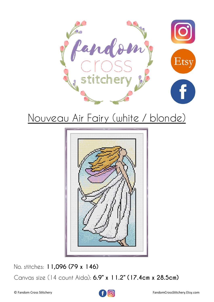



No. stitches: **11,096 (79 x 146)**

Canvas size (14 count Aida): **6.9" x 11.2" (17.4cm x 28.5cm)**

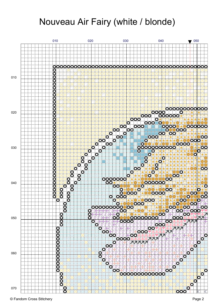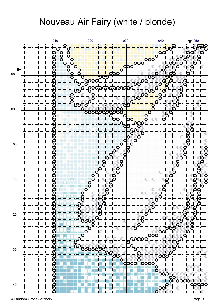

© Fandom Cross Stitchery Page 3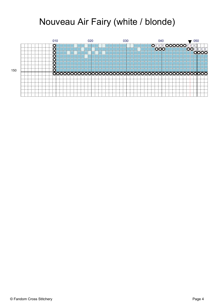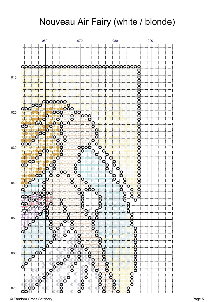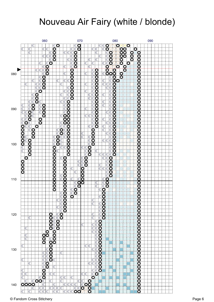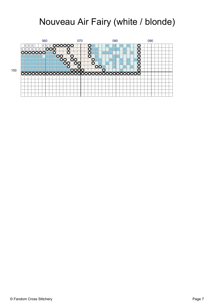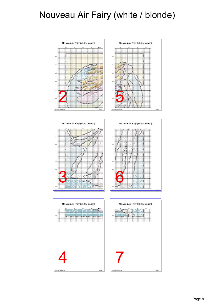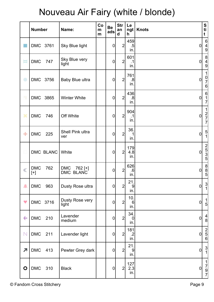|                          | <b>Number</b>           |           | Name:                                               | Co<br>m<br>m | <b>Be</b><br>ads | <b>Str</b><br>an<br>$\mathbf d$ | Le<br>h                       | ngt   Knots      | S<br>ti<br>t                                               |
|--------------------------|-------------------------|-----------|-----------------------------------------------------|--------------|------------------|---------------------------------|-------------------------------|------------------|------------------------------------------------------------|
|                          | DMC 3761                |           | Sky Blue light                                      |              | $\pmb{0}$        | $\overline{2}$                  | 459<br>$.5\,$<br>in.          | 0                | $6 \overline{6}$<br>$\frac{4}{9}$                          |
| Ħ                        | <b>DMC</b>              | 747       | Sky Blue very<br>light                              |              | $\boldsymbol{0}$ | $\overline{2}$                  | 601<br>$\cdot$ 1<br>in.       | $\overline{0}$   | $\begin{array}{c} 8 \\ 4 \\ 9 \end{array}$                 |
| $\bigcirc$               | DMC 3756                |           | Baby Blue ultra                                     |              | $\boldsymbol{0}$ | $\overline{2}$                  | 761<br>.8<br>in.              | $\overline{0}$   | $\mathbf{1}$<br>$\begin{array}{c} 0 \\ 7 \\ 6 \end{array}$ |
| ٧                        | DMC 3865                |           | <b>Winter White</b>                                 |              | $\mathbf 0$      | $\overline{2}$                  | 436<br>.8<br>in.              | $\overline{0}$   | $\begin{array}{c} 6 \\ 1 \\ 7 \end{array}$                 |
| ×                        | <b>DMC</b>              | 746       | Off White                                           |              | $\boldsymbol{0}$ | $\overline{2}$                  | 904<br>$\cdot$ 1<br>in.       | $\overline{0}$   | $\begin{array}{c} 1 \\ 2 \\ 7 \\ 7 \end{array}$            |
| ۰                        | <b>DMC</b>              | 225       | Shell Pink ultra<br>ver                             |              | $\mathbf 0$      | $\overline{2}$                  | 36.<br>1<br>in.               | $\overline{0}$   | $\frac{5}{1}$                                              |
|                          |                         | DMC BLANC | White                                               |              | $\pmb{0}$        | $\overline{2}$                  | 179<br>4.8<br>in.             | $\boldsymbol{0}$ | $\begin{array}{c}\n 2 \\  5 \\  5\n \end{array}$           |
|                          | $\mathsf{DMC}$<br>$[+]$ | 762       | <b>DMC</b><br>762 [+]<br><b>BLANC</b><br><b>DMC</b> |              | $\pmb{0}$        | $\overline{2}$                  | 626<br>.6<br>in.              | 0                | $\begin{array}{c}\n8 \\ 5\n\end{array}$                    |
| $\hat{\phantom{a}}$      | <b>DMC</b>              | 963       | Dusty Rose ultra                                    |              | $\mathbf 0$      | $\mathbf{2}$                    | 21.<br>9<br>in.               | $\overline{0}$   | $\frac{3}{1}$                                              |
| $\blacktriangledown$     | DMC 3716                |           | Dusty Rose very<br>light                            |              | $\boldsymbol{0}$ | 2                               | 10.<br>$6\phantom{1}6$<br>in. | 0                | $\begin{array}{c} 1 \\ 5 \end{array}$                      |
| $\leftarrow$             | <b>DMC</b>              | 210       | Lavender<br>medium                                  |              | $\boldsymbol{0}$ | $\overline{2}$                  | 34.<br>$\mathbf 0$<br>in.     | $\overline{0}$   | $\frac{4}{8}$                                              |
| $\mathbb N$              | <b>DMC</b>              | 211       | Lavender light                                      |              | $\boldsymbol{0}$ | $\overline{2}$                  | 181<br>$.2\,$<br>in.          | $\overline{0}$   | $\begin{array}{c}\n 2 \\  5 \\  6\n \end{array}$           |
| $\overline{\phantom{a}}$ | <b>DMC</b>              | 413       | Pewter Grey dark                                    |              | $\pmb{0}$        | $\overline{2}$                  | 21.<br>9<br>in.               | 0                | $\frac{3}{1}$                                              |
| $\bullet$                | <b>DMC</b>              | 310       | <b>Black</b>                                        |              | $\boldsymbol{0}$ | $\overline{2}$                  | 127<br>2.3<br>in.             | $\overline{0}$   | $\begin{array}{c} 1 \\ 7 \\ 9 \\ 7 \end{array}$            |